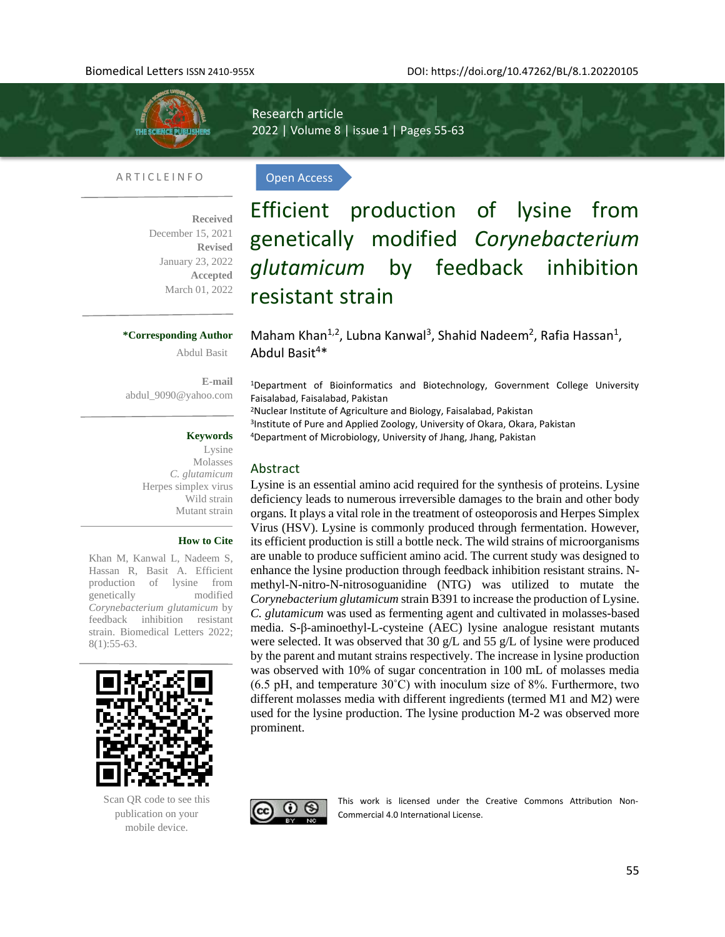

Research article 2022 | Volume 8 | issue 1 | Pages 55-63

Open Access

## A R T I C L E I N F O

**Received**  December 15, 2021 **Revised** January 23, 2022 **Accepted** March 01, 2022

#### **\*Corresponding Author**

Abdul Basit

**E-mail**  [abdul\\_9090@yahoo.com](mailto:abdul_9090@yahoo.com)

## **Keywords**

Lysine Molasses *C. glutamicum* Herpes simplex virus Wild strain Mutant strain

## **How to Cite**

Khan M, Kanwal L, Nadeem S, Hassan R, Basit A. Efficient production of lysine from genetically modified *Corynebacterium glutamicum* by feedback inhibition resistant strain. Biomedical Letters 2022; 8(1):55-63.



Scan QR code to see this publication on your mobile device.

Efficient production of lysine from genetically modified *Corynebacterium glutamicum* by feedback inhibition resistant strain

Maham Khan<sup>1,2</sup>, Lubna Kanwal<sup>3</sup>, Shahid Nadeem<sup>2</sup>, Rafia Hassan<sup>1</sup>, Abdul Basit<sup>4\*</sup>

<sup>1</sup>Department of Bioinformatics and Biotechnology, Government College University Faisalabad, Faisalabad, Pakistan

<sup>2</sup>Nuclear Institute of Agriculture and Biology, Faisalabad, Pakistan 3 Institute of Pure and Applied Zoology, University of Okara, Okara, Pakistan <sup>4</sup>Department of Microbiology, University of Jhang, Jhang, Pakistan

# Abstract

Lysine is an essential amino acid required for the synthesis of proteins. Lysine deficiency leads to numerous irreversible damages to the brain and other body organs. It plays a vital role in the treatment of osteoporosis and Herpes Simplex Virus (HSV). Lysine is commonly produced through fermentation. However, its efficient production is still a bottle neck. The wild strains of microorganisms are unable to produce sufficient amino acid. The current study was designed to enhance the lysine production through feedback inhibition resistant strains. Nmethyl-N-nitro-N-nitrosoguanidine (NTG) was utilized to mutate the *Corynebacterium glutamicum* strain B391 to increase the production of Lysine. *C. glutamicum* was used as fermenting agent and cultivated in molasses-based media. S-β-aminoethyl-L-cysteine (AEC) lysine analogue resistant mutants were selected. It was observed that 30  $g/L$  and 55  $g/L$  of lysine were produced by the parent and mutant strains respectively. The increase in lysine production was observed with 10% of sugar concentration in 100 mL of molasses media  $(6.5 \text{ pH}, \text{and temperature } 30^{\circ}\text{C})$  with inoculum size of 8%. Furthermore, two different molasses media with different ingredients (termed M1 and M2) were used for the lysine production. The lysine production M-2 was observed more prominent.



This work is licensed under the Creative Commons Attribution Non-Commercial 4.0 International License.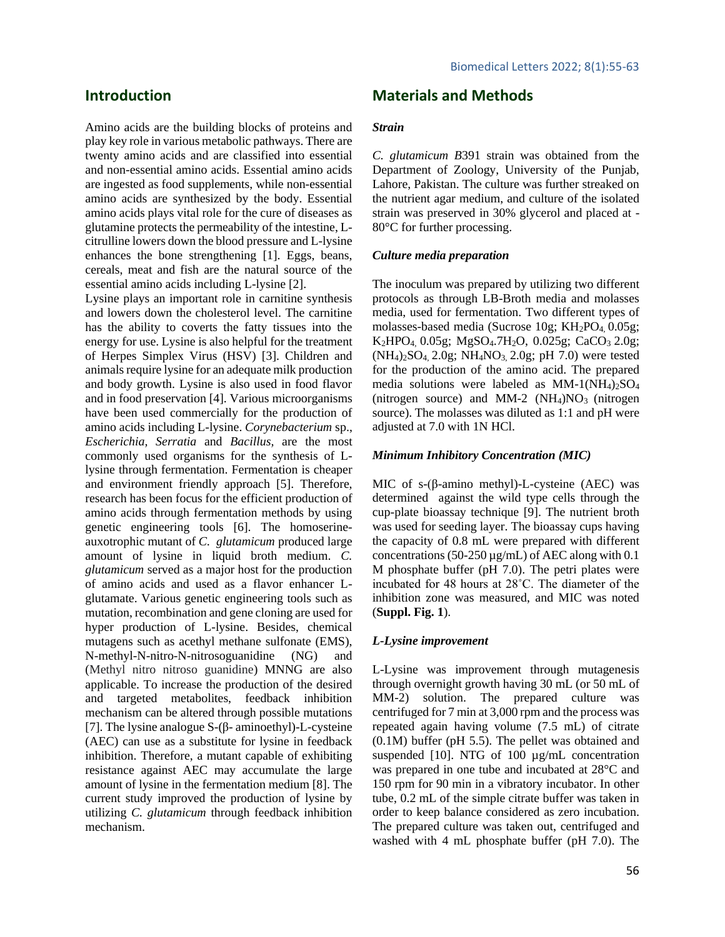# **Introduction**

Amino acids are the building blocks of proteins and play key role in various metabolic pathways. There are twenty amino acids and are classified into essential and non-essential amino acids. Essential amino acids are ingested as food supplements, while non-essential amino acids are synthesized by the body. Essential amino acids plays vital role for the cure of diseases as glutamine protects the permeability of the intestine, Lcitrulline lowers down the blood pressure and L-lysine enhances the bone strengthening [1]. Eggs, beans, cereals, meat and fish are the natural source of the essential amino acids including L-lysine [2].

Lysine plays an important role in carnitine synthesis and lowers down the cholesterol level. The carnitine has the ability to coverts the fatty tissues into the energy for use. Lysine is also helpful for the treatment of Herpes Simplex Virus (HSV) [3]. Children and animals require lysine for an adequate milk production and body growth. Lysine is also used in food flavor and in food preservation [4]. Various microorganisms have been used commercially for the production of amino acids including L-lysine. *Corynebacterium* sp., *Escherichia, Serratia* and *Bacillus,* are the most commonly used organisms for the synthesis of Llysine through fermentation. Fermentation is cheaper and environment friendly approach [5]. Therefore, research has been focus for the efficient production of amino acids through fermentation methods by using genetic engineering tools [6]. The homoserineauxotrophic mutant of *C. glutamicum* produced large amount of lysine in liquid broth medium. *C. glutamicum* served as a major host for the production of amino acids and used as a flavor enhancer Lglutamate. Various genetic engineering tools such as mutation, recombination and gene cloning are used for hyper production of L-lysine. Besides, chemical mutagens such as acethyl methane sulfonate (EMS), N-methyl-N-nitro-N-nitrosoguanidine (NG) and (Methyl nitro nitroso guanidine) MNNG are also applicable. To increase the production of the desired and targeted metabolites, feedback inhibition mechanism can be altered through possible mutations [7]. The lysine analogue S-(β- aminoethyl)-L-cysteine (AEC) can use as a substitute for lysine in feedback inhibition. Therefore, a mutant capable of exhibiting resistance against AEC may accumulate the large amount of lysine in the fermentation medium [8]. The current study improved the production of lysine by utilizing *C. glutamicum* through feedback inhibition mechanism.

# **Materials and Methods**

#### *Strain*

*C. glutamicum B*391 strain was obtained from the Department of Zoology, University of the Punjab, Lahore, Pakistan. The culture was further streaked on the nutrient agar medium, and culture of the isolated strain was preserved in 30% glycerol and placed at - 80°C for further processing.

#### *Culture media preparation*

The inoculum was prepared by utilizing two different protocols as through LB-Broth media and molasses media, used for fermentation. Two different types of molasses-based media (Sucrose  $10g$ ; KH<sub>2</sub>PO<sub>4</sub>, 0.05g; K<sub>2</sub>HPO<sub>4</sub>, 0.05g; MgSO<sub>4</sub>.7H<sub>2</sub>O, 0.025g; CaCO<sub>3</sub> 2.0g;  $(NH_4)_2SO_4$ ,  $2.0g$ ;  $NH_4NO_3$ ,  $2.0g$ ; pH 7.0) were tested for the production of the amino acid. The prepared media solutions were labeled as MM-1(NH4)2SO<sup>4</sup> (nitrogen source) and MM-2  $(NH<sub>4</sub>)NO<sub>3</sub>$  (nitrogen source). The molasses was diluted as 1:1 and pH were adjusted at 7.0 with 1N HCl.

## *Minimum Inhibitory Concentration (MIC)*

MIC of s-(β-amino methyl)-L-cysteine (AEC) was determined against the wild type cells through the cup-plate bioassay technique [9]. The nutrient broth was used for seeding layer. The bioassay cups having the capacity of 0.8 mL were prepared with different concentrations (50-250  $\mu$ g/mL) of AEC along with 0.1 M phosphate buffer (pH 7.0). The petri plates were incubated for 48 hours at 28˚C. The diameter of the inhibition zone was measured, and MIC was noted (**Suppl. Fig. 1**).

## *L-Lysine improvement*

L-Lysine was improvement through mutagenesis through overnight growth having 30 mL (or 50 mL of MM-2) solution. The prepared culture was centrifuged for 7 min at 3,000 rpm and the process was repeated again having volume (7.5 mL) of citrate (0.1M) buffer (pH 5.5). The pellet was obtained and suspended [10]. NTG of 100  $\mu$ g/mL concentration was prepared in one tube and incubated at 28°C and 150 rpm for 90 min in a vibratory incubator. In other tube, 0.2 mL of the simple citrate buffer was taken in order to keep balance considered as zero incubation. The prepared culture was taken out, centrifuged and washed with 4 mL phosphate buffer (pH 7.0). The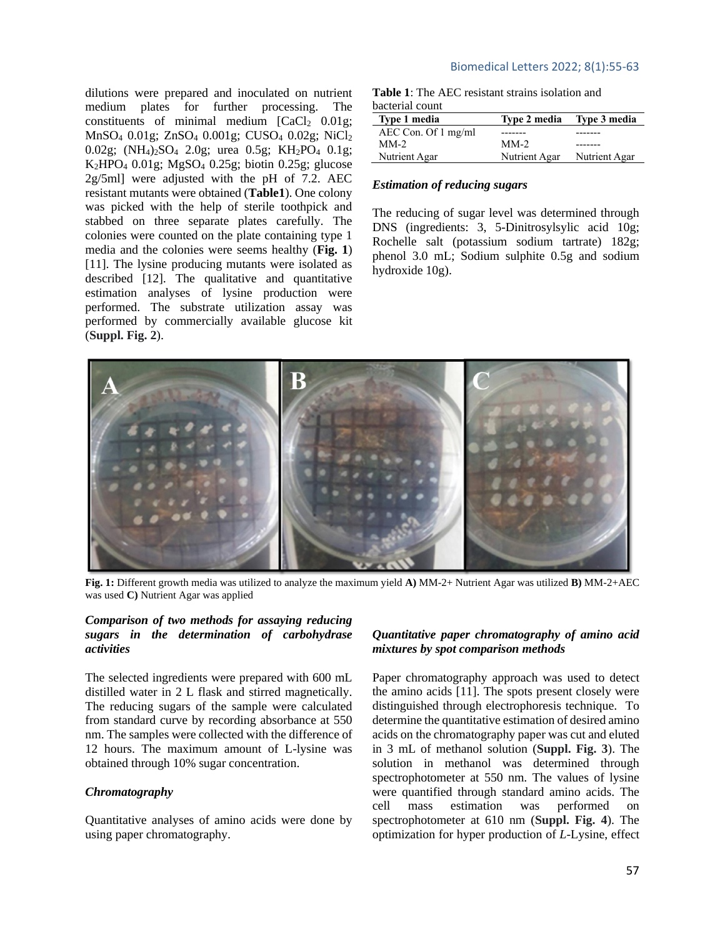dilutions were prepared and inoculated on nutrient medium plates for further processing. The constituents of minimal medium  $[CaCl<sub>2</sub> 0.01g;$ MnSO<sup>4</sup> 0.01g; ZnSO<sup>4</sup> 0.001g; CUSO<sup>4</sup> 0.02g; NiCl<sup>2</sup> 0.02g; (NH4)2SO<sup>4</sup> 2.0g; urea 0.5g; KH2PO<sup>4</sup> 0.1g;  $K<sub>2</sub>HPO<sub>4</sub> 0.01g$ ; MgSO<sub>4</sub> 0.25g; biotin 0.25g; glucose 2g/5ml] were adjusted with the pH of 7.2. AEC resistant mutants were obtained (**Table1**). One colony was picked with the help of sterile toothpick and stabbed on three separate plates carefully. The colonies were counted on the plate containing type 1 media and the colonies were seems healthy (**Fig. 1**) [11]. The lysine producing mutants were isolated as described [12]. The qualitative and quantitative estimation analyses of lysine production were performed. The substrate utilization assay was performed by commercially available glucose kit (**Suppl. Fig. 2**).

## Biomedical Letters 2022; 8(1):55-63

**Table 1**: The AEC resistant strains isolation and bacterial count

| Type 1 media                  | <b>Type 2 media</b> | Type 3 media  |
|-------------------------------|---------------------|---------------|
| AEC Con. Of $1 \text{ mg/ml}$ |                     |               |
| $MM-2$                        | $MM-2$              |               |
| Nutrient Agar                 | Nutrient Agar       | Nutrient Agar |

## *Estimation of reducing sugars*

The reducing of sugar level was determined through DNS (ingredients: 3, 5-Dinitrosylsylic acid 10g; Rochelle salt (potassium sodium tartrate) 182g; phenol 3.0 mL; Sodium sulphite 0.5g and sodium hydroxide 10g).



**Fig. 1:** Different growth media was utilized to analyze the maximum yield **A)** MM-2+ Nutrient Agar was utilized **B)** MM-2+AEC was used **C)** Nutrient Agar was applied

## *Comparison of two methods for assaying reducing sugars in the determination of carbohydrase activities*

The selected ingredients were prepared with 600 mL distilled water in 2 L flask and stirred magnetically. The reducing sugars of the sample were calculated from standard curve by recording absorbance at 550 nm. The samples were collected with the difference of 12 hours. The maximum amount of L-lysine was obtained through 10% sugar concentration.

## *Chromatography*

Quantitative analyses of amino acids were done by using paper chromatography.

## *Quantitative paper chromatography of amino acid mixtures by spot comparison methods*

Paper chromatography approach was used to detect the amino acids [11]. The spots present closely were distinguished through electrophoresis technique. To determine the quantitative estimation of desired amino acids on the chromatography paper was cut and eluted in 3 mL of methanol solution (**Suppl. Fig. 3**). The solution in methanol was determined through spectrophotometer at 550 nm. The values of lysine were quantified through standard amino acids. The cell mass estimation was performed on spectrophotometer at 610 nm (**Suppl. Fig. 4**). The optimization for hyper production of *L*-Lysine, effect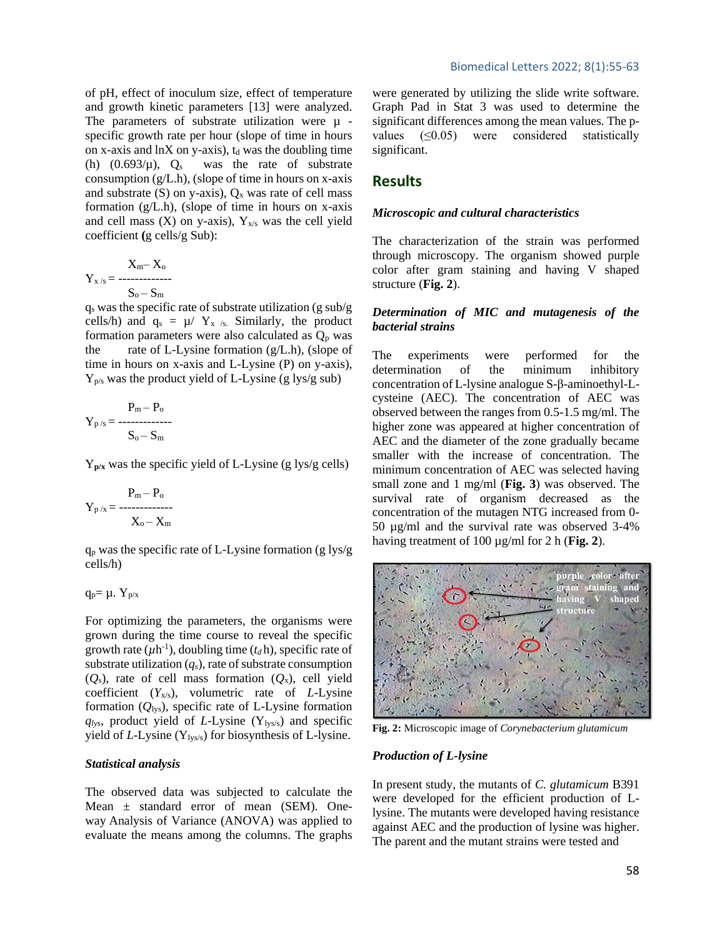of pH, effect of inoculum size, effect of temperature and growth kinetic parameters [13] were analyzed. The parameters of substrate utilization were  $\mu$  specific growth rate per hour (slope of time in hours on x-axis and  $\ln X$  on y-axis),  $t_d$  was the doubling time (h)  $(0.693/\mu)$ ,  $Q_s$  was the rate of substrate consumption (g/L.h), (slope of time in hours on x-axis and substrate (S) on y-axis),  $Q_x$  was rate of cell mass formation (g/L.h), (slope of time in hours on x-axis and cell mass  $(X)$  on y-axis),  $Y_{x/s}$  was the cell yield coefficient **(**g cells/g Sub):

$$
Y_{x/s}=\begin{matrix}X_m-X_o\\S_o-S_m\end{matrix}
$$

 $q_s$  was the specific rate of substrate utilization (g sub/g cells/h) and  $q_s = \mu / Y_{x/s}$ . Similarly, the product formation parameters were also calculated as  $Q_p$  was the rate of L-Lysine formation (g/L.h), (slope of time in hours on x-axis and L-Lysine (P) on y-axis),  $Y_{p/s}$  was the product yield of L-Lysine (g lys/g sub)

$$
P_m-P_o \newline Y_{p/s}=\begin{array}{c} P_m-P_o \\\hline \\ S_o-S_m \end{array}
$$

Y**p/x** was the specific yield of L-Lysine (g lys/g cells)

$$
Y_{p/x}\!=\!\frac{P_m\!-\!P_o}{X_o\!-\!X_m}
$$

 $q_p$  was the specific rate of L-Lysine formation (g lys/g cells/h)

$$
q_p\!\!=\mu.\;Y_{p\!/\!x}
$$

For optimizing the parameters, the organisms were grown during the time course to reveal the specific growth rate  $(\mu h^{-1})$ , doubling time  $(t_d h)$ , specific rate of substrate utilization  $(q_s)$ , rate of substrate consumption (*Q*s), rate of cell mass formation (*Q*x), cell yield coefficient (*Y*x/s), volumetric rate of *L*-Lysine formation  $(Q_{\text{lys}})$ , specific rate of L-Lysine formation  $q$ <sub>lys</sub>, product yield of *L*-Lysine (Y<sub>lys/s</sub>) and specific yield of *L*-Lysine (Y<sub>lys/s</sub>) for biosynthesis of L-lysine.

#### *Statistical analysis*

The observed data was subjected to calculate the Mean ± standard error of mean (SEM). Oneway Analysis of Variance (ANOVA) was applied to evaluate the means among the columns. The graphs were generated by utilizing the slide write software. Graph Pad in Stat 3 was used to determine the significant differences among the mean values. The pvalues (≤0.05) were considered statistically significant.

# **Results**

#### *Microscopic and cultural characteristics*

The characterization of the strain was performed through microscopy. The organism showed purple color after gram staining and having V shaped structure (**Fig. 2**).

# *Determination of MIC and mutagenesis of the bacterial strains*

The experiments were performed for the determination of the minimum inhibitory concentration of L-lysine analogue S-β-aminoethyl-Lcysteine (AEC). The concentration of AEC was observed between the ranges from 0.5-1.5 mg/ml. The higher zone was appeared at higher concentration of AEC and the diameter of the zone gradually became smaller with the increase of concentration. The minimum concentration of AEC was selected having small zone and 1 mg/ml (**Fig. 3**) was observed. The survival rate of organism decreased as the concentration of the mutagen NTG increased from 0- 50 µg/ml and the survival rate was observed 3-4% having treatment of 100 µg/ml for 2 h (**Fig. 2**).



**Fig. 2:** Microscopic image of *Corynebacterium glutamicum*

## *Production of L-lysine*

In present study, the mutants of *C. glutamicum* B391 were developed for the efficient production of Llysine. The mutants were developed having resistance against AEC and the production of lysine was higher. The parent and the mutant strains were tested and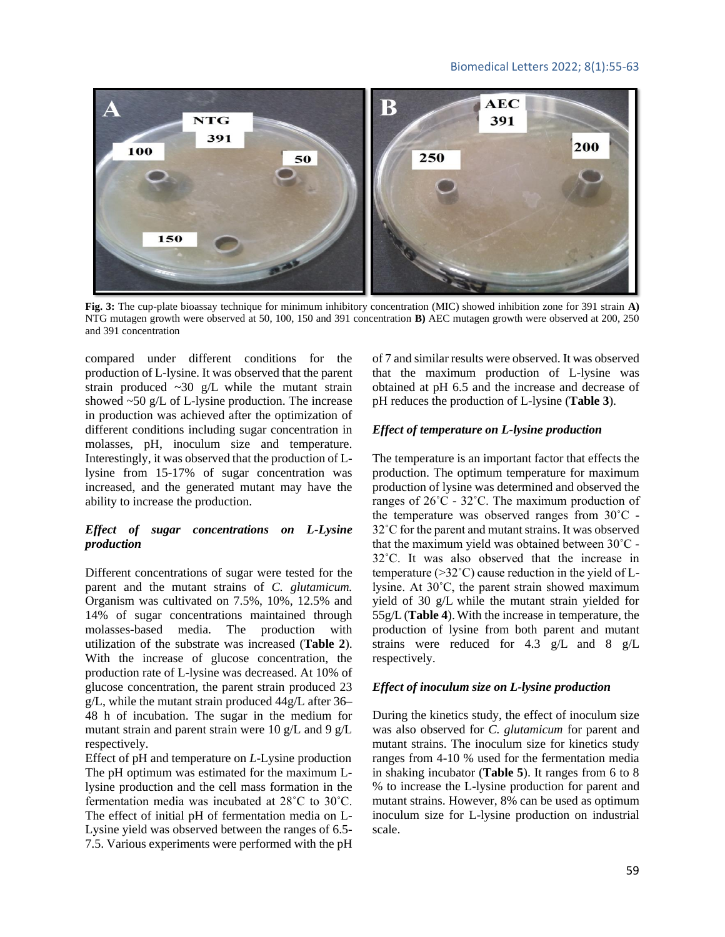## Biomedical Letters 2022; 8(1):55-63



**Fig. 3:** The cup-plate bioassay technique for minimum inhibitory concentration (MIC) showed inhibition zone for 391 strain **A)** NTG mutagen growth were observed at 50, 100, 150 and 391 concentration **B)** AEC mutagen growth were observed at 200, 250 and 391 concentration

compared under different conditions for the production of L-lysine. It was observed that the parent strain produced  $\sim 30$  g/L while the mutant strain showed  $\sim 50$  g/L of L-lysine production. The increase in production was achieved after the optimization of different conditions including sugar concentration in molasses, pH, inoculum size and temperature. Interestingly, it was observed that the production of Llysine from 15-17% of sugar concentration was increased, and the generated mutant may have the ability to increase the production.

## *Effect of sugar concentrations on L-Lysine production*

Different concentrations of sugar were tested for the parent and the mutant strains of *C. glutamicum.*  Organism was cultivated on 7.5%, 10%, 12.5% and 14% of sugar concentrations maintained through molasses-based media. The production with utilization of the substrate was increased (**Table 2**). With the increase of glucose concentration, the production rate of L-lysine was decreased. At 10% of glucose concentration, the parent strain produced 23 g/L, while the mutant strain produced 44g/L after 36– 48 h of incubation. The sugar in the medium for mutant strain and parent strain were 10 g/L and 9 g/L respectively.

Effect of pH and temperature on *L*-Lysine production The pH optimum was estimated for the maximum Llysine production and the cell mass formation in the fermentation media was incubated at 28˚C to 30˚C. The effect of initial pH of fermentation media on L-Lysine yield was observed between the ranges of 6.5- 7.5. Various experiments were performed with the pH of 7 and similar results were observed. It was observed that the maximum production of L-lysine was obtained at pH 6.5 and the increase and decrease of pH reduces the production of L-lysine (**Table 3**).

## *Effect of temperature on L-lysine production*

The temperature is an important factor that effects the production. The optimum temperature for maximum production of lysine was determined and observed the ranges of  $26^{\circ}$ C -  $32^{\circ}$ C. The maximum production of the temperature was observed ranges from 30˚C - 32˚C for the parent and mutant strains. It was observed that the maximum yield was obtained between 30˚C - 32˚C. It was also observed that the increase in temperature (>32˚C) cause reduction in the yield of Llysine. At 30˚C, the parent strain showed maximum yield of 30 g/L while the mutant strain yielded for 55g/L (**Table 4**).With the increase in temperature, the production of lysine from both parent and mutant strains were reduced for 4.3 g/L and 8 g/L respectively.

## *Effect of inoculum size on L-lysine production*

During the kinetics study, the effect of inoculum size was also observed for *C. glutamicum* for parent and mutant strains. The inoculum size for kinetics study ranges from 4-10 % used for the fermentation media in shaking incubator (**Table 5**). It ranges from 6 to 8 % to increase the L-lysine production for parent and mutant strains. However, 8% can be used as optimum inoculum size for L-lysine production on industrial scale.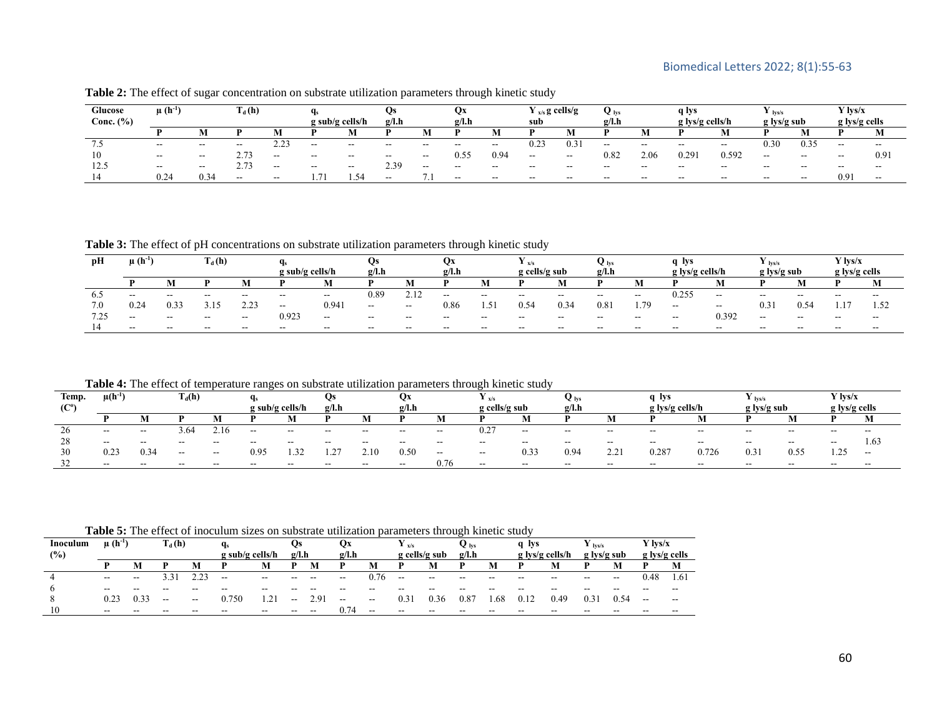| Glucose         | $\mu$ (h <sup>-1</sup> |                          | $T_{d}$ (h)                  |           |                   |       | US                       |       | vх    |       | $Y_{x/s}$ g cells/g |       | <b>V</b> lvs |       | g Iys                    |       | lvs/s                    |                       | $\angle$ lys/x           |       |
|-----------------|------------------------|--------------------------|------------------------------|-----------|-------------------|-------|--------------------------|-------|-------|-------|---------------------|-------|--------------|-------|--------------------------|-------|--------------------------|-----------------------|--------------------------|-------|
| Conc. $(\% )$   |                        |                          |                              |           | $g$ sub/g cells/h |       | g/l.h<br>Q/Lh            |       |       | sub   |                     |       | <b>g/l.h</b> |       | $g$ lys/g cells/h        |       | g lys/g sub              |                       | g lys/g cells            |       |
|                 |                        |                          |                              |           |                   | M     |                          | М     |       |       |                     | M     |              |       |                          |       |                          |                       |                          | IVI.  |
| $\cdot$ $\cdot$ | $- -$                  | $- -$                    | $\overline{\phantom{a}}$     | ت کے والے | $-$               | $- -$ | $\overline{\phantom{a}}$ | $- -$ | $- -$ | $- -$ | 0.23                | 0.3   | $- -$        | $- -$ | $- -$                    | $- -$ | 0.30 <sub>1</sub>        | $\sim$ $\sim$<br>0.35 | $\overline{\phantom{a}}$ | $- -$ |
| 10              | $- -$                  | $\overline{\phantom{a}}$ | $\sim$ $\sim$<br>$\angle$ ./ | $- -$     | $- -$             | $- -$ | $- -$                    | $- -$ | 0.55  | 0.94  | $- -$               | $- -$ | 0.82         | 2.06  | 1.29'                    | 0.592 | $\overline{\phantom{a}}$ | $\sim$ $\sim$         | $\overline{\phantom{a}}$ | 0.91  |
| 12.5            | $- -$                  | $- -$                    | 2.73                         | $- -$     | $- -$             | $- -$ | 2.39                     | $- -$ | $- -$ | $- -$ | $-$                 | $- -$ | $- -$        | $- -$ | $\overline{\phantom{a}}$ | $- -$ | $- -$                    | $- -$                 | $- -$                    | $- -$ |
|                 | 0.24                   | 0.34                     | $- -$                        | $- -$     |                   | -54   | $- -$                    |       | $- -$ | $- -$ | $-$                 | $- -$ | $- -$        | $- -$ | $- -$                    | $- -$ | $- -$                    | $- -$                 | J.Y                      | $- -$ |

**Table 2:** The effect of sugar concentration on substrate utilization parameters through kinetic study

**Table 3:** The effect of pH concentrations on substrate utilization parameters through kinetic study

| рH            | $\mu$ (h <sup>-1</sup> |       | $T_d(h)$ |                           | g sub/g cells/h                                                                                   |       | ŲS<br>g/l.h |                          | vх<br>g/l.h              |             | $\pm x/s$<br>g cells/g sub |                          | $\mathbf{V}$ lys<br>g/l.h |       | q Ivs<br>g lys/g cells/h |                          | $\mathbf{I}$ lys/s<br>g lys/g sub |       | ' lys/x<br>g lys/g cells |       |
|---------------|------------------------|-------|----------|---------------------------|---------------------------------------------------------------------------------------------------|-------|-------------|--------------------------|--------------------------|-------------|----------------------------|--------------------------|---------------------------|-------|--------------------------|--------------------------|-----------------------------------|-------|--------------------------|-------|
|               |                        |       |          |                           |                                                                                                   |       |             |                          |                          |             |                            |                          |                           |       |                          |                          |                                   |       | D                        | M     |
| 0.0           | $- -$                  | $- -$ | $-$      | --                        | --                                                                                                | $- -$ | 0.89        | 2.12                     | $- -$                    | $-$         | $- -$                      | $- -$                    | $- -$                     | $- -$ | 0.255                    | $\overline{\phantom{m}}$ | $- -$                             | $- -$ | $- -$                    | $- -$ |
| 7.0           | 0.24                   | 0.33  |          | $\sim$ $\sim$<br><u>.</u> | $\hspace{0.05cm} \hspace{0.02cm} \hspace{0.02cm} \hspace{0.02cm} \hspace{0.02cm} \hspace{0.02cm}$ | 0.941 | $\sim$      | $\sim$                   | 0.86                     | $\leq$<br>. | 0.54                       | 0.34                     | 0.8                       | 1.79  | $\overline{\phantom{a}}$ | $- -$                    | 0.31                              | 0.54  | 1.1                      | 1.52  |
| 7 75<br>ر ے ، | $-$                    | $- -$ | $- -$    | $- -$                     | 0.923                                                                                             | $- -$ | $- -$       | $\overline{\phantom{a}}$ | $\overline{\phantom{a}}$ | $-$         | $- -$                      | $\overline{\phantom{a}}$ | $- -$                     | $- -$ | $- -$                    | 0.392                    | $- -$                             | $- -$ | $- -$                    | $- -$ |
|               | $- -$                  | $- -$ | $- -$    | --                        | $- -$                                                                                             | $- -$ | $- -$       | --                       | $- -$                    | $- -$       | $- -$                      | --                       | $- -$                     | $- -$ | $- -$                    | $- -$                    | $- -$                             | $- -$ | $- -$                    | $- -$ |

**Table 4:** The effect of temperature ranges on substrate utilization parameters through kinetic study

| Temp.             | $T_d(h)$<br>$\mu(h^{-1})$ |       | q,    |       | US              |                               | Оx          | $\mathbf{r}$ $\mathbf{x}/\mathbf{s}$ |       | <b>V</b> lys             |       |                          | g ivs |                    | $\mathbf{I}$ lys/s |                                     | Y lvs/x |                          |         |               |
|-------------------|---------------------------|-------|-------|-------|-----------------|-------------------------------|-------------|--------------------------------------|-------|--------------------------|-------|--------------------------|-------|--------------------|--------------------|-------------------------------------|---------|--------------------------|---------|---------------|
| (C <sup>o</sup> ) |                           |       |       |       | g sub/g cells/h |                               | g/l.h       |                                      | g/l.h |                          |       | $g$ cells/g sub          |       | g/l.h              |                    | $g \frac{1}{2} \frac{g}{g}$ cells/h |         | g Iys/g sub              |         | g lys/g cells |
|                   |                           |       |       |       |                 |                               |             |                                      |       | M                        |       | N                        |       |                    |                    |                                     |         |                          |         |               |
| 20                | $\sim$                    | --    | -64.ر | .16   | $- -$           | $- -$                         | $- -$       | $\sim$ $\sim$                        | $- -$ | $\overline{\phantom{a}}$ | 0.27  | $- -$                    | $- -$ | $- -$              | $- -$              | $- -$                               | $- -$   | $- -$                    | $- -$   | $- -$         |
|                   | $- -$                     | $- -$ | $- -$ | $- -$ | $- -$           | --                            | $- -$       | $\overline{\phantom{a}}$             | $- -$ | --                       | $- -$ | $\overline{\phantom{a}}$ | $- -$ | $- -$              | $- -$              | $- -$                               | $- -$   | $\overline{\phantom{a}}$ | $- -$   | 1.63          |
| 30                | ∪.∠.                      | 0.34  | $- -$ | $-$   | 0.95            | $\mathcal{R}^{\prime}$<br>ے ب | $\sim$<br>. | 2.10                                 | 0.50  | $\overline{\phantom{a}}$ | $- -$ | 0.33                     | 0.94  | 22<br><u>_ . _</u> | 0.287              | 0.726                               | 0.3.    | - -<br>0.55              | $1.4 -$ | $- -$         |
|                   | $- -$                     | $- -$ | $- -$ | --    | $- -$           | $- -$                         | $- -$       | --                                   | $- -$ | 0.76                     | $- -$ | $- -$                    | $- -$ | $- -$              | $- -$              | --                                  | --      |                          |         |               |

**Table 5:** The effect of inoculum sizes on substrate utilization parameters through kinetic study

|          | <b>Table 5:</b> The criter of moculum sizes on substrate utmzation<br>parameters unbugn kinetic stuuy |       |                                            |                   |                          |       |                          |               |                          |                          |                                    |                          |       |       |                          |                 |       |                                       |         |               |  |
|----------|-------------------------------------------------------------------------------------------------------|-------|--------------------------------------------|-------------------|--------------------------|-------|--------------------------|---------------|--------------------------|--------------------------|------------------------------------|--------------------------|-------|-------|--------------------------|-----------------|-------|---------------------------------------|---------|---------------|--|
| Inoculum | $\mu$ (h <sup>-1</sup> )                                                                              |       | $\Gamma_{\rm d} \left( \mathrm{h} \right)$ |                   | Чs                       |       | Qs                       |               | Qx                       |                          | $\mathbf{I} \mathbf{x}/\mathbf{s}$ |                          |       |       | q Ivs                    |                 | Ivs/s |                                       | Y lvs/x |               |  |
| (%)      |                                                                                                       |       |                                            |                   | $g$ sub/g cells/h        |       | g/l.h                    |               | g/l.h                    |                          |                                    | g cells/g sub            |       | g/l.h |                          | g lys/g cells/h |       | g lys/g sub                           |         | g lys/g cells |  |
|          |                                                                                                       | M     |                                            |                   | D                        | M     |                          | M             | D                        | M                        |                                    | M                        |       |       |                          |                 |       |                                       |         | M             |  |
|          | $- -$                                                                                                 | $- -$ | 5.5.                                       | $\mathbf{\Omega}$ | $\overline{\phantom{m}}$ | $- -$ | $\overline{\phantom{a}}$ | $- -$         | $- -$                    | 0.76                     | $- -$                              | $\overline{\phantom{m}}$ | $- -$ | $- -$ | $\overline{\phantom{a}}$ | $- -$           | --    | $\hspace{0.05cm}$ – $\hspace{0.05cm}$ | ).48    | 1.61          |  |
|          | $- -$                                                                                                 |       |                                            |                   |                          | --    |                          |               |                          |                          |                                    |                          |       |       |                          | --              |       |                                       |         | --            |  |
|          | 0.23                                                                                                  | U.S.: | $\overline{\phantom{m}}$                   | $- -$             | 750                      | 21    | $\overline{\phantom{a}}$ | $2.9^{\circ}$ | $\overline{\phantom{a}}$ | $\overline{\phantom{a}}$ | 0.31                               | 0.36                     | 0.87  | 68    | 0.17                     | 0.49            | 0.3   | 0.54                                  | $- -$   | $- -$         |  |
|          | $- -$                                                                                                 | $- -$ | --                                         | --                | $- -$                    | $- -$ | $- -$                    | $- -$         | 174                      | $- -$                    | $\overline{\phantom{a}}$           | $- -$                    | $- -$ | --    | $-$                      | $- -$           |       | --                                    |         | $- -$         |  |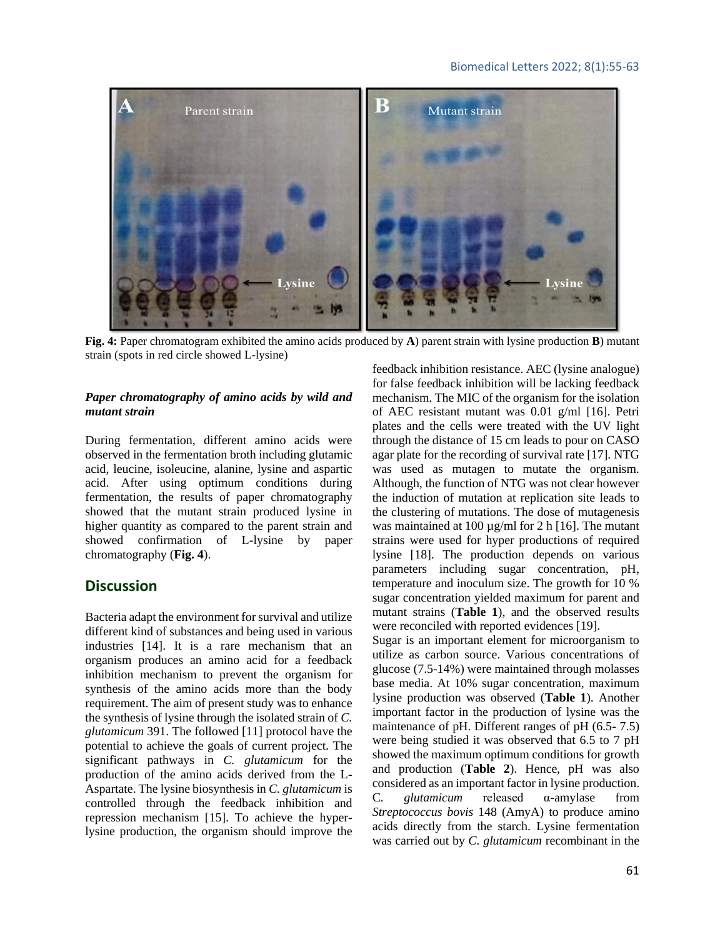## Biomedical Letters 2022; 8(1):55-63



**Fig. 4:** Paper chromatogram exhibited the amino acids produced by **A**) parent strain with lysine production **B**) mutant strain (spots in red circle showed L-lysine)

## *Paper chromatography of amino acids by wild and mutant strain*

During fermentation, different amino acids were observed in the fermentation broth including glutamic acid, leucine, isoleucine, alanine, lysine and aspartic acid. After using optimum conditions during fermentation, the results of paper chromatography showed that the mutant strain produced lysine in higher quantity as compared to the parent strain and showed confirmation of L-lysine by paper chromatography (**Fig. 4**).

# **Discussion**

Bacteria adapt the environment for survival and utilize different kind of substances and being used in various industries [14]. It is a rare mechanism that an organism produces an amino acid for a feedback inhibition mechanism to prevent the organism for synthesis of the amino acids more than the body requirement. The aim of present study was to enhance the synthesis of lysine through the isolated strain of *C. glutamicum* 391. The followed [11] protocol have the potential to achieve the goals of current project. The significant pathways in *C. glutamicum* for the production of the amino acids derived from the L-Aspartate. The lysine biosynthesis in *C. glutamicum* is controlled through the feedback inhibition and repression mechanism [15]. To achieve the hyperlysine production, the organism should improve the feedback inhibition resistance. AEC (lysine analogue) for false feedback inhibition will be lacking feedback mechanism. The MIC of the organism for the isolation of AEC resistant mutant was 0.01 g/ml [16]. Petri plates and the cells were treated with the UV light through the distance of 15 cm leads to pour on CASO agar plate for the recording of survival rate [17]. NTG was used as mutagen to mutate the organism. Although, the function of NTG was not clear however the induction of mutation at replication site leads to the clustering of mutations. The dose of mutagenesis was maintained at 100  $\mu$ g/ml for 2 h [16]. The mutant strains were used for hyper productions of required lysine [18]. The production depends on various parameters including sugar concentration, pH, temperature and inoculum size. The growth for 10 % sugar concentration yielded maximum for parent and mutant strains (**Table 1**), and the observed results were reconciled with reported evidences [19].

Sugar is an important element for microorganism to utilize as carbon source. Various concentrations of glucose (7.5-14%) were maintained through molasses base media. At 10% sugar concentration, maximum lysine production was observed (**Table 1**). Another important factor in the production of lysine was the maintenance of pH. Different ranges of pH (6.5- 7.5) were being studied it was observed that 6.5 to 7 pH showed the maximum optimum conditions for growth and production (**Table 2**). Hence, pH was also considered as an important factor in lysine production. C*. glutamicum* released α-amylase from *Streptococcus bovis* 148 (AmyA) to produce amino acids directly from the starch. Lysine fermentation was carried out by *C. glutamicum* recombinant in the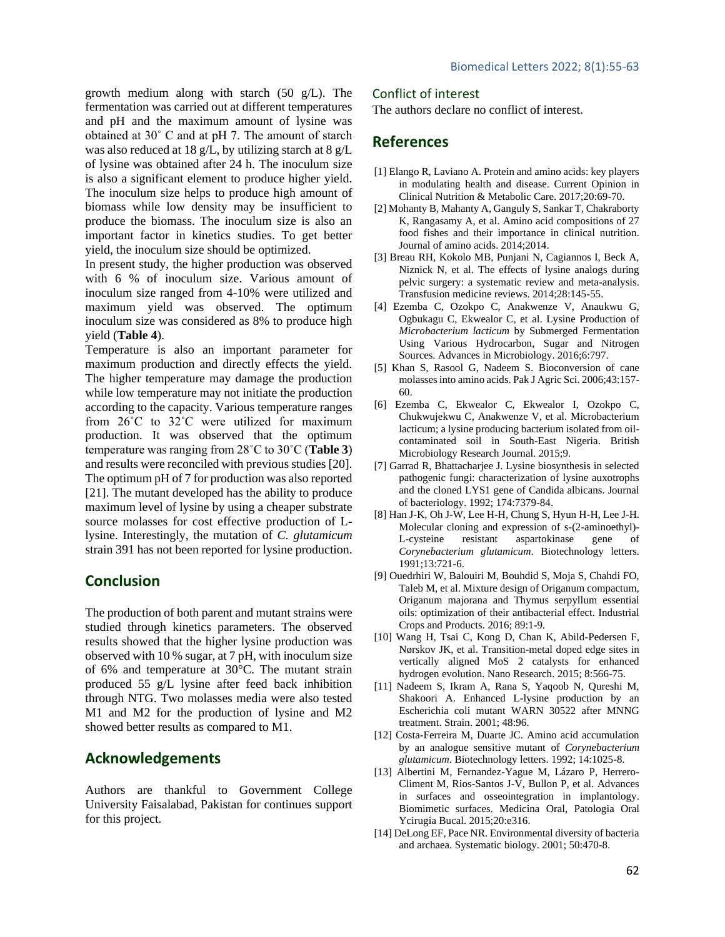growth medium along with starch (50 g/L). The fermentation was carried out at different temperatures and pH and the maximum amount of lysine was obtained at 30˚ C and at pH 7. The amount of starch was also reduced at 18 g/L, by utilizing starch at 8 g/L of lysine was obtained after 24 h. The inoculum size is also a significant element to produce higher yield. The inoculum size helps to produce high amount of biomass while low density may be insufficient to produce the biomass. The inoculum size is also an important factor in kinetics studies. To get better yield, the inoculum size should be optimized.

In present study, the higher production was observed with 6 % of inoculum size. Various amount of inoculum size ranged from 4-10% were utilized and maximum yield was observed. The optimum inoculum size was considered as 8% to produce high yield (**Table 4**).

Temperature is also an important parameter for maximum production and directly effects the yield. The higher temperature may damage the production while low temperature may not initiate the production according to the capacity. Various temperature ranges from 26˚C to 32˚C were utilized for maximum production. It was observed that the optimum temperature was ranging from 28˚C to 30˚C (**Table 3**) and results were reconciled with previous studies [20]. The optimum pH of 7 for production was also reported [21]. The mutant developed has the ability to produce maximum level of lysine by using a cheaper substrate source molasses for cost effective production of Llysine. Interestingly, the mutation of *C. glutamicum*  strain 391 has not been reported for lysine production.

# **Conclusion**

The production of both parent and mutant strains were studied through kinetics parameters. The observed results showed that the higher lysine production was observed with 10 % sugar, at 7 pH, with inoculum size of 6% and temperature at 30°C. The mutant strain produced 55 g/L lysine after feed back inhibition through NTG. Two molasses media were also tested M1 and M2 for the production of lysine and M2 showed better results as compared to M1.

# **Acknowledgements**

Authors are thankful to Government College University Faisalabad, Pakistan for continues support for this project.

## Conflict of interest

The authors declare no conflict of interest.

# **References**

- [1] Elango R, Laviano A. Protein and amino acids: key players in modulating health and disease. Current Opinion in Clinical Nutrition & Metabolic Care. 2017;20:69-70.
- [2] Mohanty B, Mahanty A, Ganguly S, Sankar T, Chakraborty K, Rangasamy A, et al. Amino acid compositions of 27 food fishes and their importance in clinical nutrition. Journal of amino acids. 2014;2014.
- [3] Breau RH, Kokolo MB, Punjani N, Cagiannos I, Beck A, Niznick N, et al. The effects of lysine analogs during pelvic surgery: a systematic review and meta-analysis. Transfusion medicine reviews. 2014;28:145-55.
- [4] Ezemba C, Ozokpo C, Anakwenze V, Anaukwu G, Ogbukagu C, Ekwealor C, et al. Lysine Production of *Microbacterium lacticum* by Submerged Fermentation Using Various Hydrocarbon, Sugar and Nitrogen Sources. Advances in Microbiology. 2016;6:797.
- [5] Khan S, Rasool G, Nadeem S. Bioconversion of cane molasses into amino acids. Pak J Agric Sci. 2006;43:157- 60.
- [6] Ezemba C, Ekwealor C, Ekwealor I, Ozokpo C, Chukwujekwu C, Anakwenze V, et al. Microbacterium lacticum; a lysine producing bacterium isolated from oilcontaminated soil in South-East Nigeria. British Microbiology Research Journal. 2015;9.
- [7] Garrad R, Bhattacharjee J. Lysine biosynthesis in selected pathogenic fungi: characterization of lysine auxotrophs and the cloned LYS1 gene of Candida albicans. Journal of bacteriology. 1992; 174:7379-84.
- [8] Han J-K, Oh J-W, Lee H-H, Chung S, Hyun H-H, Lee J-H. Molecular cloning and expression of s-(2-aminoethyl)- L-cysteine resistant aspartokinase gene of *Corynebacterium glutamicum*. Biotechnology letters. 1991;13:721-6.
- [9] Ouedrhiri W, Balouiri M, Bouhdid S, Moja S, Chahdi FO, Taleb M, et al. Mixture design of Origanum compactum, Origanum majorana and Thymus serpyllum essential oils: optimization of their antibacterial effect. Industrial Crops and Products. 2016; 89:1-9.
- [10] Wang H, Tsai C, Kong D, Chan K, Abild-Pedersen F, Nørskov JK, et al. Transition-metal doped edge sites in vertically aligned MoS 2 catalysts for enhanced hydrogen evolution. Nano Research. 2015; 8:566-75.
- [11] Nadeem S, Ikram A, Rana S, Yaqoob N, Qureshi M, Shakoori A. Enhanced L-lysine production by an Escherichia coli mutant WARN 30522 after MNNG treatment. Strain. 2001; 48:96.
- [12] Costa-Ferreira M, Duarte JC. Amino acid accumulation by an analogue sensitive mutant of *Corynebacterium glutamicum*. Biotechnology letters. 1992; 14:1025-8.
- [13] Albertini M, Fernandez-Yague M, Lázaro P, Herrero-Climent M, Rios-Santos J-V, Bullon P, et al. Advances in surfaces and osseointegration in implantology. Biomimetic surfaces. Medicina Oral, Patologia Oral Ycirugia Bucal. 2015;20:e316.
- [14] DeLong EF, Pace NR. Environmental diversity of bacteria and archaea. Systematic biology. 2001; 50:470-8.